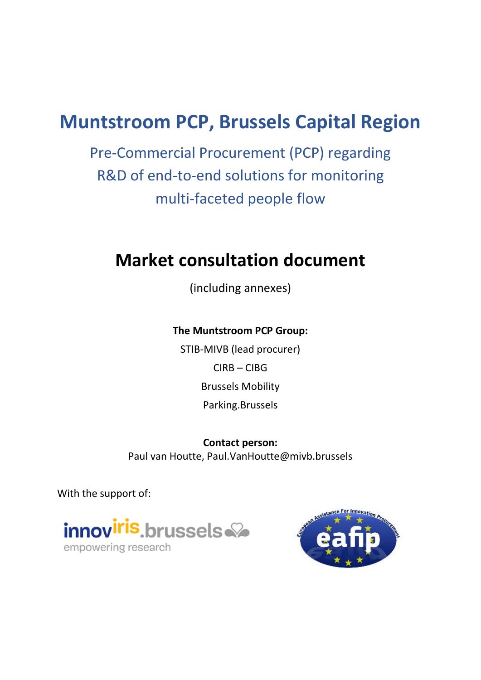# **Muntstroom PCP, Brussels Capital Region**

Pre-Commercial Procurement (PCP) regarding R&D of end-to-end solutions for monitoring multi-faceted people flow

# **Market consultation document**

(including annexes)

### **The Muntstroom PCP Group:**

STIB-MIVB (lead procurer) CIRB – CIBG Brussels Mobility Parking.Brussels

**Contact person:** Paul van Houtte, Paul.VanHoutte@mivb.brussels

With the support of:



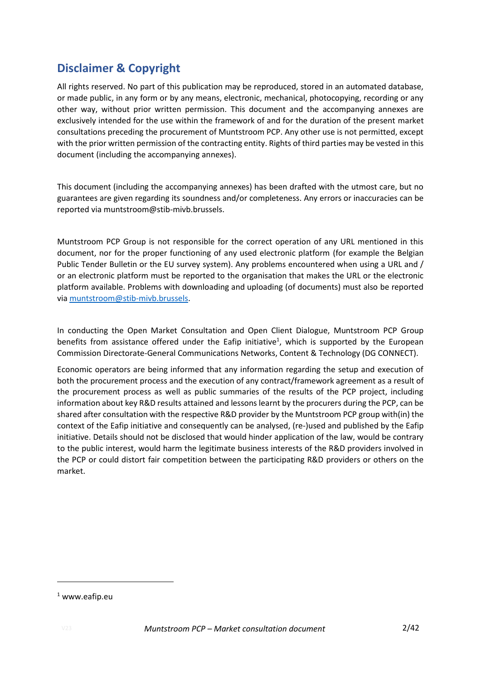## **Disclaimer & Copyright**

All rights reserved. No part of this publication may be reproduced, stored in an automated database, or made public, in any form or by any means, electronic, mechanical, photocopying, recording or any other way, without prior written permission. This document and the accompanying annexes are exclusively intended for the use within the framework of and for the duration of the present market consultations preceding the procurement of Muntstroom PCP. Any other use is not permitted, except with the prior written permission of the contracting entity. Rights of third parties may be vested in this document (including the accompanying annexes).

This document (including the accompanying annexes) has been drafted with the utmost care, but no guarantees are given regarding its soundness and/or completeness. Any errors or inaccuracies can be reported via muntstroom@stib-mivb.brussels.

Muntstroom PCP Group is not responsible for the correct operation of any URL mentioned in this document, nor for the proper functioning of any used electronic platform (for example the Belgian Public Tender Bulletin or the EU survey system). Any problems encountered when using a URL and / or an electronic platform must be reported to the organisation that makes the URL or the electronic platform available. Problems with downloading and uploading (of documents) must also be reported via [muntstroom@stib-mivb.brussels.](mailto:muntstroom@stib-mivb.brussels)

In conducting the Open Market Consultation and Open Client Dialogue, Muntstroom PCP Group benefits from assistance offered under the Eafip initiative<sup>1</sup>, which is supported by the European Commission Directorate-General Communications Networks, Content & Technology (DG CONNECT).

Economic operators are being informed that any information regarding the setup and execution of both the procurement process and the execution of any contract/framework agreement as a result of the procurement process as well as public summaries of the results of the PCP project, including information about key R&D results attained and lessons learnt by the procurers during the PCP, can be shared after consultation with the respective R&D provider by the Muntstroom PCP group with(in) the context of the Eafip initiative and consequently can be analysed, (re-)used and published by the Eafip initiative. Details should not be disclosed that would hinder application of the law, would be contrary to the public interest, would harm the legitimate business interests of the R&D providers involved in the PCP or could distort fair competition between the participating R&D providers or others on the market.

1

 $1$  www.eafip.eu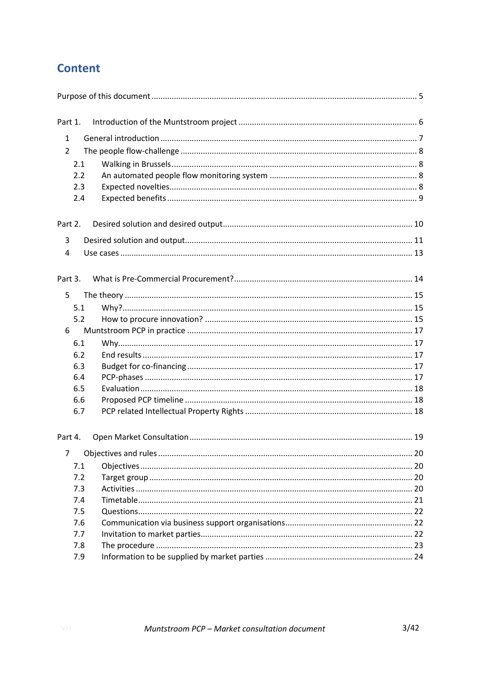## **Content**

| Part 1.        |  |
|----------------|--|
| $\mathbf{1}$   |  |
| $\overline{2}$ |  |
| 2.1            |  |
| 2.2            |  |
| 2.3            |  |
| 2.4            |  |
| Part 2.        |  |
| 3              |  |
| 4              |  |
| Part 3.        |  |
| 5              |  |
| 5.1            |  |
| 5.2            |  |
| 6              |  |
| 6.1            |  |
| 6.2            |  |
| 6.3            |  |
| 6.4            |  |
| 6.5            |  |
| 6.6            |  |
| 6.7            |  |
| Part 4.        |  |
|                |  |
| 7.1            |  |
| 7.2            |  |
| 7.3            |  |
| 7.4            |  |
| 7.5            |  |
| 7.6            |  |
| 7.7            |  |
| 7.8            |  |
| 7.9            |  |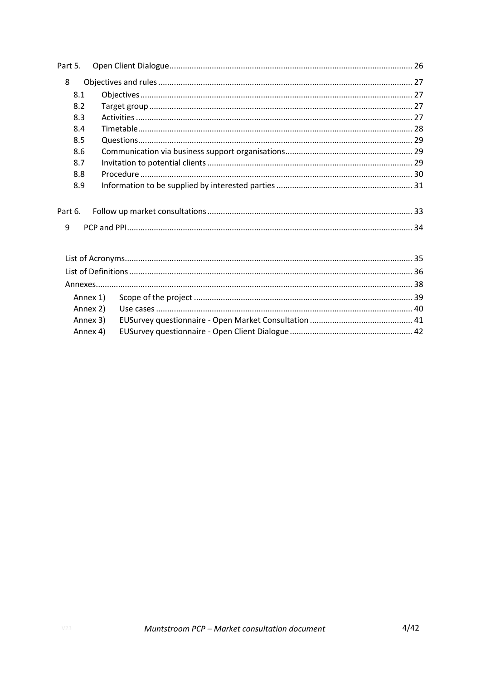| Part 5. |          |  |  |  |
|---------|----------|--|--|--|
| 8       |          |  |  |  |
| 8.1     |          |  |  |  |
| 8.2     |          |  |  |  |
| 8.3     |          |  |  |  |
| 8.4     |          |  |  |  |
| 8.5     |          |  |  |  |
| 8.6     |          |  |  |  |
| 8.7     |          |  |  |  |
| 8.8     |          |  |  |  |
| 8.9     |          |  |  |  |
|         |          |  |  |  |
| Part 6. |          |  |  |  |
| 9       |          |  |  |  |
|         |          |  |  |  |
|         |          |  |  |  |
|         |          |  |  |  |
|         |          |  |  |  |
|         |          |  |  |  |
|         | Annex 1) |  |  |  |
|         | Annex 2) |  |  |  |
|         | Annex 3) |  |  |  |
|         | Annex 4) |  |  |  |
|         |          |  |  |  |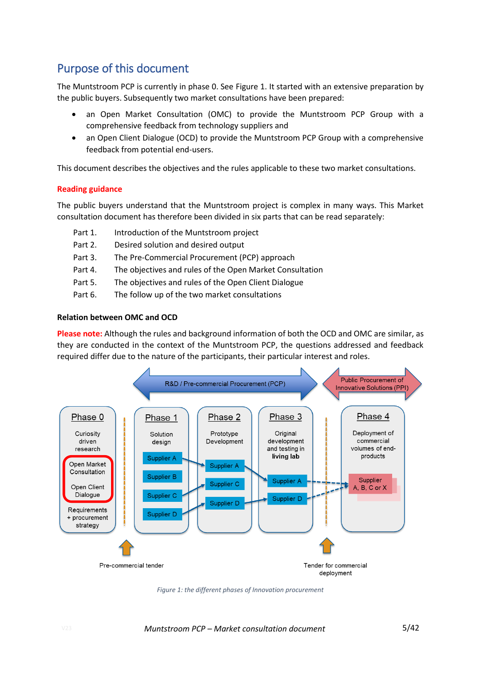## <span id="page-4-0"></span>Purpose of this document

The Muntstroom PCP is currently in phase 0. Se[e Figure 1.](#page-4-1) It started with an extensive preparation by the public buyers. Subsequently two market consultations have been prepared:

- an Open Market Consultation (OMC) to provide the Muntstroom PCP Group with a comprehensive feedback from technology suppliers and
- an Open Client Dialogue (OCD) to provide the Muntstroom PCP Group with a comprehensive feedback from potential end-users.

This document describes the objectives and the rules applicable to these two market consultations.

#### **Reading guidance**

The public buyers understand that the Muntstroom project is complex in many ways. This Market consultation document has therefore been divided in six parts that can be read separately:

- Part 1. Introduction of the Muntstroom project
- Part 2. Desired solution and desired output
- Part 3. The Pre-Commercial Procurement (PCP) approach
- Part 4. The objectives and rules of the Open Market Consultation
- Part 5. The objectives and rules of the Open Client Dialogue
- Part 6. The follow up of the two market consultations

#### **Relation between OMC and OCD**

**Please note:** Although the rules and background information of both the OCD and OMC are similar, as they are conducted in the context of the Muntstroom PCP, the questions addressed and feedback required differ due to the nature of the participants, their particular interest and roles.



<span id="page-4-1"></span>*Figure 1: the different phases of Innovation procurement*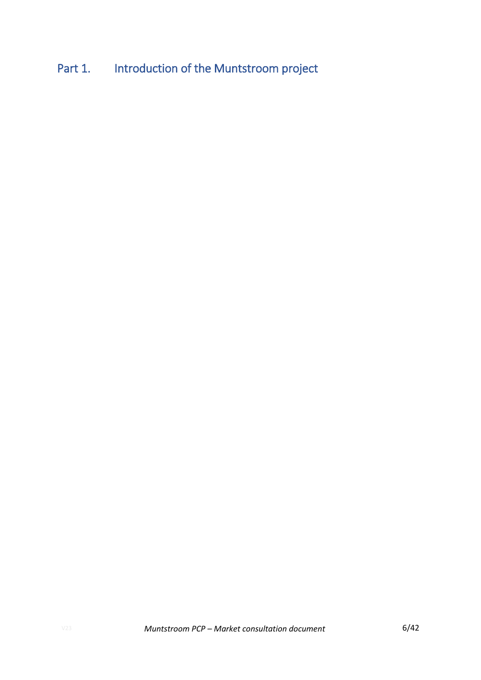# <span id="page-5-0"></span>Part 1. Introduction of the Muntstroom project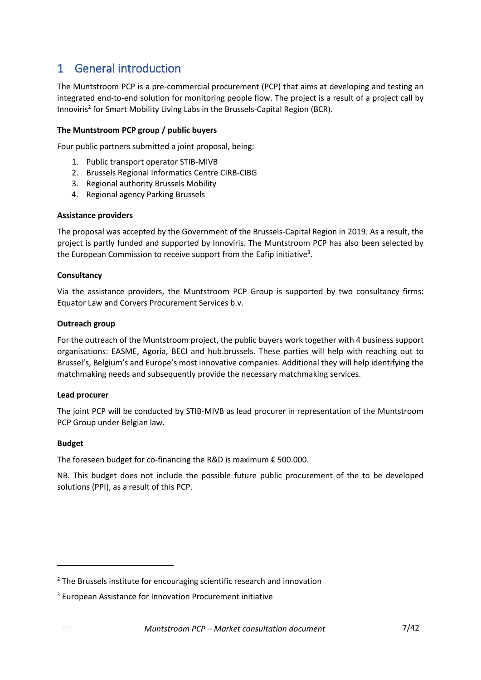## <span id="page-6-0"></span>1 General introduction

The Muntstroom PCP is a pre-commercial procurement (PCP) that aims at developing and testing an integrated end-to-end solution for monitoring people flow. The project is a result of a project call by Innoviris<sup>2</sup> for Smart Mobility Living Labs in the Brussels-Capital Region (BCR).

### **The Muntstroom PCP group / public buyers**

Four public partners submitted a joint proposal, being:

- 1. Public transport operator STIB-MIVB
- 2. Brussels Regional Informatics Centre CIRB-CIBG
- 3. Regional authority Brussels Mobility
- 4. Regional agency Parking Brussels

#### **Assistance providers**

The proposal was accepted by the Government of the Brussels-Capital Region in 2019. As a result, the project is partly funded and supported by Innoviris. The Muntstroom PCP has also been selected by the European Commission to receive support from the Eafip initiative<sup>3</sup>.

#### **Consultancy**

Via the assistance providers, the Muntstroom PCP Group is supported by two consultancy firms: Equator Law and Corvers Procurement Services b.v.

#### **Outreach group**

For the outreach of the Muntstroom project, the public buyers work together with 4 business support organisations: EASME, Agoria, BECI and hub.brussels. These parties will help with reaching out to Brussel's, Belgium's and Europe's most innovative companies. Additional they will help identifying the matchmaking needs and subsequently provide the necessary matchmaking services.

#### **Lead procurer**

The joint PCP will be conducted by STIB-MIVB as lead procurer in representation of the Muntstroom PCP Group under Belgian law.

### **Budget**

The foreseen budget for co-financing the R&D is maximum  $\epsilon$  500.000.

NB. This budget does not include the possible future public procurement of the to be developed solutions (PPI), as a result of this PCP.

 $2$  The Brussels institute for encouraging scientific research and innovation

<sup>&</sup>lt;sup>3</sup> European Assistance for Innovation Procurement initiative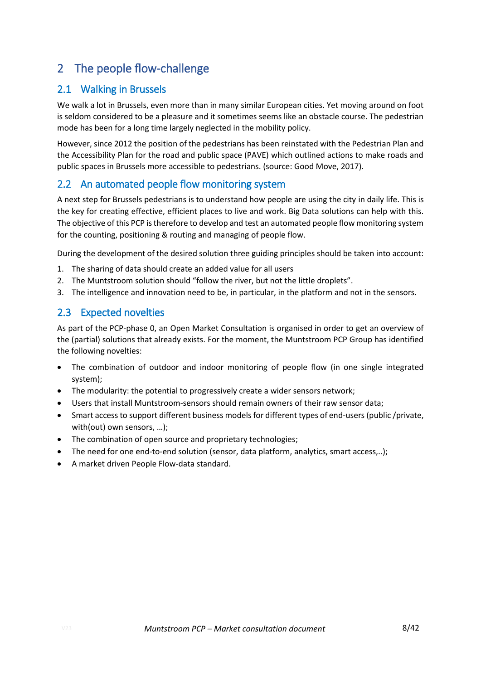## <span id="page-7-0"></span>2 The people flow-challenge

### <span id="page-7-1"></span>2.1 Walking in Brussels

We walk a lot in Brussels, even more than in many similar European cities. Yet moving around on foot is seldom considered to be a pleasure and it sometimes seems like an obstacle course. The pedestrian mode has been for a long time largely neglected in the mobility policy.

However, since 2012 the position of the pedestrians has been reinstated with the Pedestrian Plan and the Accessibility Plan for the road and public space (PAVE) which outlined actions to make roads and public spaces in Brussels more accessible to pedestrians. (source: Good Move, 2017).

### <span id="page-7-2"></span>2.2 An automated people flow monitoring system

A next step for Brussels pedestrians is to understand how people are using the city in daily life. This is the key for creating effective, efficient places to live and work. Big Data solutions can help with this. The objective of this PCP is therefore to develop and test an automated people flow monitoring system for the counting, positioning & routing and managing of people flow.

During the development of the desired solution three guiding principles should be taken into account:

- 1. The sharing of data should create an added value for all users
- 2. The Muntstroom solution should "follow the river, but not the little droplets".
- 3. The intelligence and innovation need to be, in particular, in the platform and not in the sensors.

### <span id="page-7-3"></span>2.3 Expected novelties

As part of the PCP-phase 0, an Open Market Consultation is organised in order to get an overview of the (partial) solutions that already exists. For the moment, the Muntstroom PCP Group has identified the following novelties:

- The combination of outdoor and indoor monitoring of people flow (in one single integrated system);
- The modularity: the potential to progressively create a wider sensors network;
- Users that install Muntstroom-sensors should remain owners of their raw sensor data;
- Smart access to support different business models for different types of end-users (public /private, with(out) own sensors, …);
- The combination of open source and proprietary technologies:
- The need for one end-to-end solution (sensor, data platform, analytics, smart access,..);
- A market driven People Flow-data standard.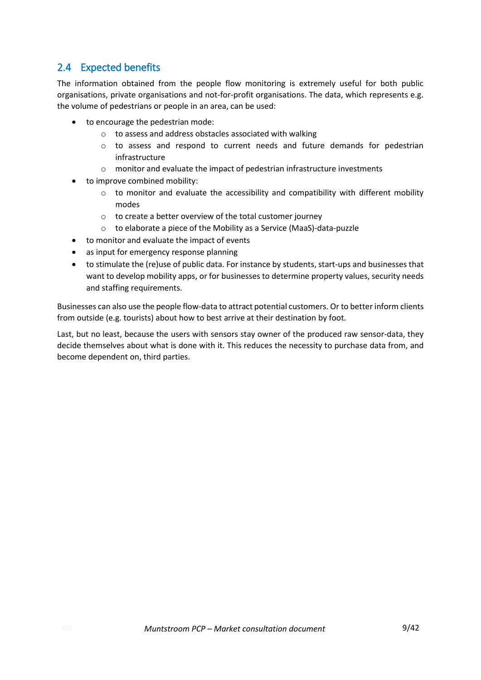### <span id="page-8-0"></span>2.4 Expected benefits

The information obtained from the people flow monitoring is extremely useful for both public organisations, private organisations and not-for-profit organisations. The data, which represents e.g. the volume of pedestrians or people in an area, can be used:

- to encourage the pedestrian mode:
	- o to assess and address obstacles associated with walking
	- o to assess and respond to current needs and future demands for pedestrian infrastructure
	- o monitor and evaluate the impact of pedestrian infrastructure investments
- to improve combined mobility:
	- $\circ$  to monitor and evaluate the accessibility and compatibility with different mobility modes
	- o to create a better overview of the total customer journey
	- o to elaborate a piece of the Mobility as a Service (MaaS)-data-puzzle
- to monitor and evaluate the impact of events
- as input for emergency response planning
- to stimulate the (re)use of public data. For instance by students, start-ups and businesses that want to develop mobility apps, or for businesses to determine property values, security needs and staffing requirements.

Businesses can also use the people flow-data to attract potential customers. Or to better inform clients from outside (e.g. tourists) about how to best arrive at their destination by foot.

Last, but no least, because the users with sensors stay owner of the produced raw sensor-data, they decide themselves about what is done with it. This reduces the necessity to purchase data from, and become dependent on, third parties.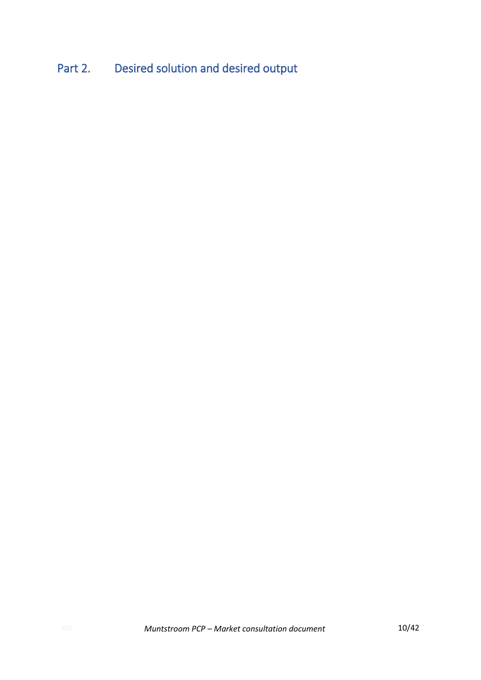# <span id="page-9-0"></span>Part 2. Desired solution and desired output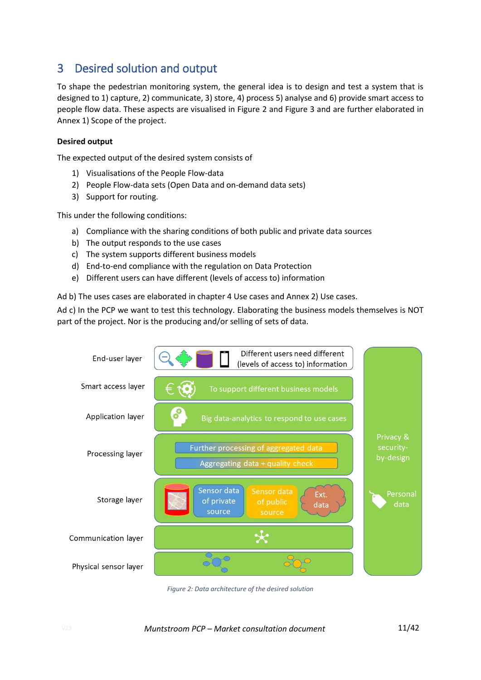## <span id="page-10-0"></span>3 Desired solution and output

To shape the pedestrian monitoring system, the general idea is to design and test a system that is designed to 1) capture, 2) communicate, 3) store, 4) process 5) analyse and 6) provide smart access to people flow data. These aspects are visualised in [Figure 2](#page-10-1) and [Figure 3](#page-11-0) and are further elaborated in [Annex 1\)](#page-38-0) [Scope of the project.](#page-38-0)

### **Desired output**

The expected output of the desired system consists of

- 1) Visualisations of the People Flow-data
- 2) People Flow-data sets (Open Data and on-demand data sets)
- 3) Support for routing.

This under the following conditions:

- a) Compliance with the sharing conditions of both public and private data sources
- b) The output responds to the use cases
- c) The system supports different business models
- d) End-to-end compliance with the regulation on Data Protection
- e) Different users can have different (levels of access to) information

Ad b) The uses cases are elaborated in chapter [4](#page-12-0) [Use cases](#page-12-0) and [Annex 2\)](#page-39-0) [Use cases.](#page-39-0)

Ad c) In the PCP we want to test this technology. Elaborating the business models themselves is NOT part of the project. Nor is the producing and/or selling of sets of data.



<span id="page-10-1"></span>*Figure 2: Data architecture of the desired solution*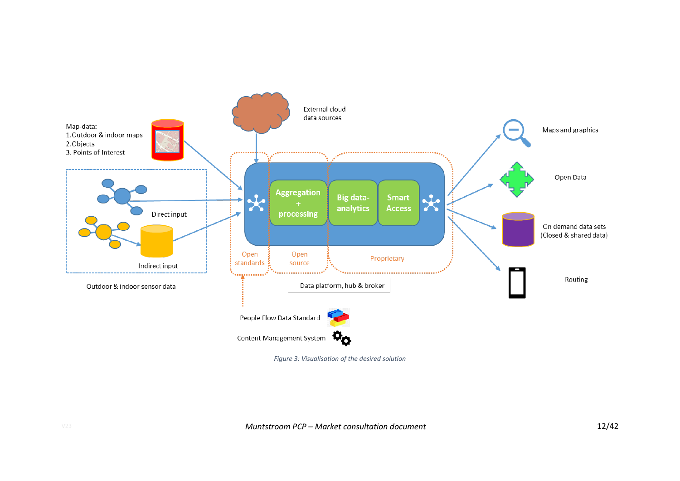

<span id="page-11-0"></span>*Figure 3: Visualisation of the desired solution*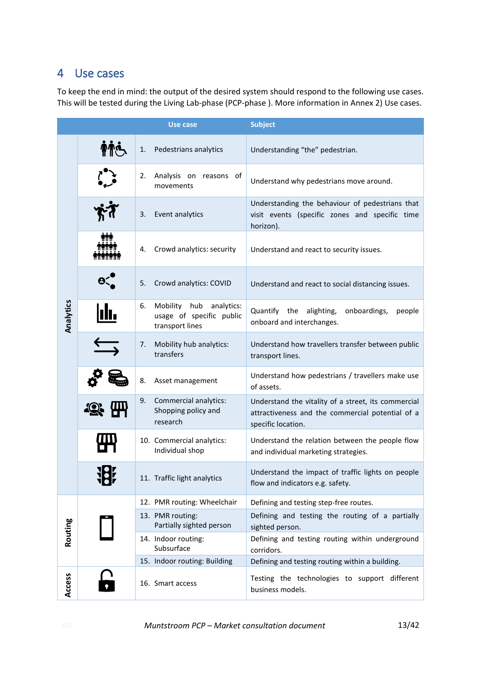## <span id="page-12-0"></span>4 Use cases

To keep the end in mind: the output of the desired system should respond to the following use cases. This will be tested during the Living Lab-phase (PCP-phase ). More information in [Annex 2\)](#page-39-0) [Use cases.](#page-39-0)

|           |                                          |    | Use case                                                                  | <b>Subject</b>                                                                                                                |
|-----------|------------------------------------------|----|---------------------------------------------------------------------------|-------------------------------------------------------------------------------------------------------------------------------|
| Analytics |                                          | 1. | Pedestrians analytics                                                     | Understanding "the" pedestrian.                                                                                               |
|           |                                          | 2. | Analysis on reasons of<br>movements                                       | Understand why pedestrians move around.                                                                                       |
|           |                                          | 3. | Event analytics                                                           | Understanding the behaviour of pedestrians that<br>visit events (specific zones and specific time<br>horizon).                |
|           | <b>THE</b><br>mmm<br><b>MTYRYTYRYTYR</b> | 4. | Crowd analytics: security                                                 | Understand and react to security issues.                                                                                      |
|           |                                          | 5. | Crowd analytics: COVID                                                    | Understand and react to social distancing issues.                                                                             |
|           | ılı.                                     | 6. | Mobility hub<br>analytics:<br>usage of specific public<br>transport lines | Quantify<br>onboardings,<br>the<br>alighting,<br>people<br>onboard and interchanges.                                          |
|           |                                          | 7. | Mobility hub analytics:<br>transfers                                      | Understand how travellers transfer between public<br>transport lines.                                                         |
|           |                                          | 8. | Asset management                                                          | Understand how pedestrians / travellers make use<br>of assets.                                                                |
|           |                                          | 9. | Commercial analytics:<br>Shopping policy and<br>research                  | Understand the vitality of a street, its commercial<br>attractiveness and the commercial potential of a<br>specific location. |
|           |                                          |    | 10. Commercial analytics:<br>Individual shop                              | Understand the relation between the people flow<br>and individual marketing strategies.                                       |
|           | 10r                                      |    | 11. Traffic light analytics                                               | Understand the impact of traffic lights on people<br>flow and indicators e.g. safety.                                         |
|           |                                          |    | 12. PMR routing: Wheelchair                                               | Defining and testing step-free routes.                                                                                        |
| Routing   |                                          |    | 13. PMR routing:<br>Partially sighted person                              | Defining and testing the routing of a partially<br>sighted person.                                                            |
|           |                                          |    | 14. Indoor routing:<br>Subsurface                                         | Defining and testing routing within underground<br>corridors.                                                                 |
|           |                                          |    | 15. Indoor routing: Building                                              | Defining and testing routing within a building.                                                                               |
| Access    |                                          |    | 16. Smart access                                                          | Testing the technologies to support different<br>business models.                                                             |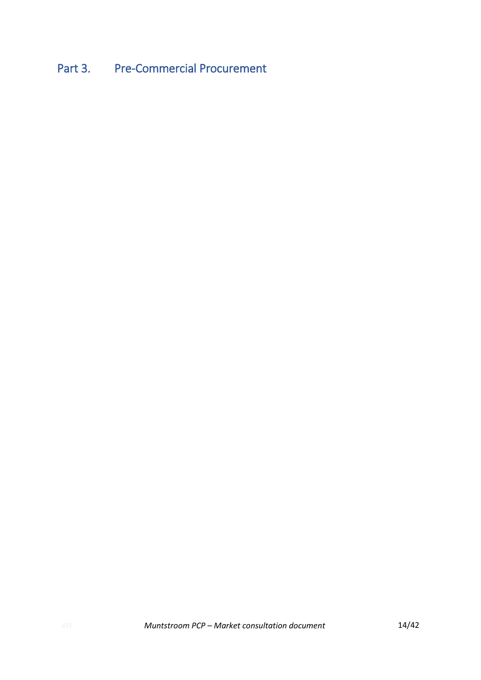## <span id="page-13-0"></span>Part 3. Pre-Commercial Procurement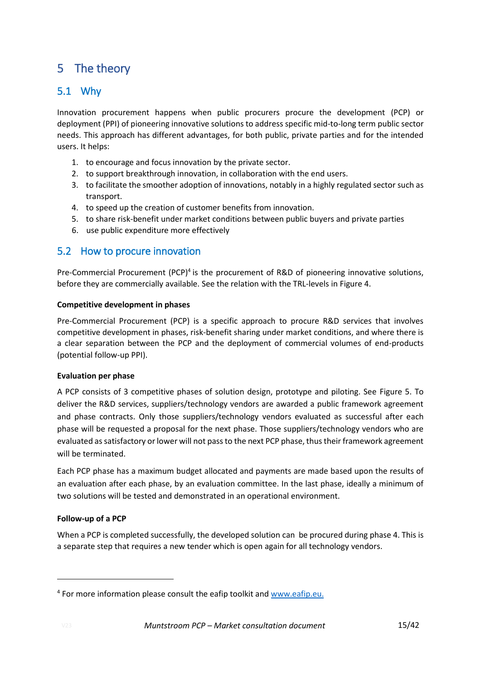## <span id="page-14-0"></span>5 The theory

### <span id="page-14-1"></span>5.1 Why

Innovation procurement happens when public procurers procure the development (PCP) or deployment (PPI) of pioneering innovative solutions to address specific mid-to-long term public sector needs. This approach has different advantages, for both public, private parties and for the intended users. It helps:

- 1. to encourage and focus innovation by the private sector.
- 2. to support breakthrough innovation, in collaboration with the end users.
- 3. to facilitate the smoother adoption of innovations, notably in a highly regulated sector such as transport.
- 4. to speed up the creation of customer benefits from innovation.
- 5. to share risk-benefit under market conditions between public buyers and private parties
- 6. use public expenditure more effectively

### <span id="page-14-2"></span>5.2 How to procure innovation

Pre-Commercial Procurement (PCP)<sup>4</sup> is the procurement of R&D of pioneering innovative solutions, before they are commercially available. See the relation with the TRL-levels i[n Figure 4.](#page-15-0)

### **Competitive development in phases**

Pre-Commercial Procurement (PCP) is a specific approach to procure R&D services that involves competitive development in phases, risk-benefit sharing under market conditions, and where there is a clear separation between the PCP and the deployment of commercial volumes of end-products (potential follow-up PPI).

### **Evaluation per phase**

A PCP consists of 3 competitive phases of solution design, prototype and piloting. See [Figure 5.](#page-15-1) To deliver the R&D services, suppliers/technology vendors are awarded a public framework agreement and phase contracts. Only those suppliers/technology vendors evaluated as successful after each phase will be requested a proposal for the next phase. Those suppliers/technology vendors who are evaluated as satisfactory or lower will not pass to the next PCP phase, thus their framework agreement will be terminated.

Each PCP phase has a maximum budget allocated and payments are made based upon the results of an evaluation after each phase, by an evaluation committee. In the last phase, ideally a minimum of two solutions will be tested and demonstrated in an operational environment.

### **Follow-up of a PCP**

When a PCP is completed successfully, the developed solution can be procured during phase 4. This is a separate step that requires a new tender which is open again for all technology vendors.

<sup>&</sup>lt;sup>4</sup> For more information please consult the eafip toolkit and **www.eafip.eu.**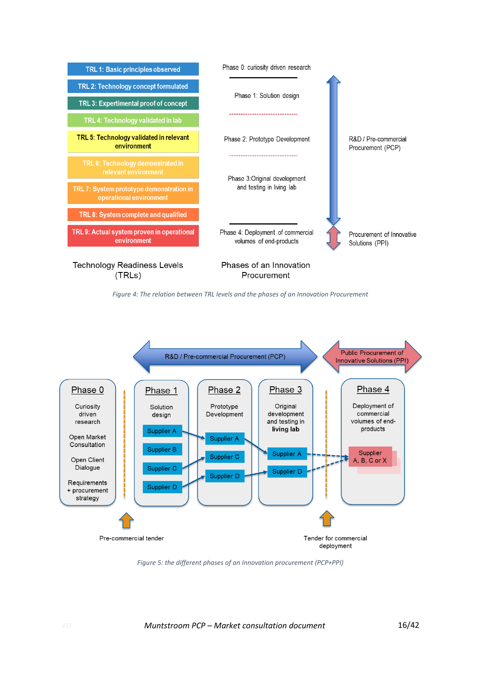

*Figure 4: The relation between TRL levels and the phases of an Innovation Procurement*

<span id="page-15-0"></span>

<span id="page-15-1"></span>*Figure 5: the different phases of an Innovation procurement (PCP+PPI)*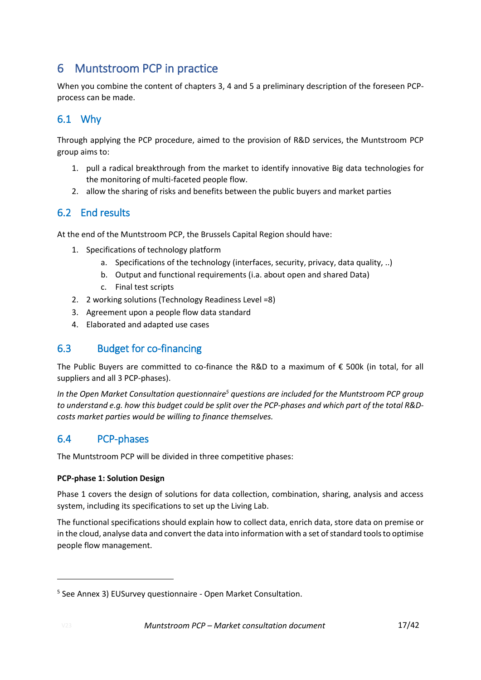## <span id="page-16-0"></span>6 Muntstroom PCP in practice

When you combine the content of chapters 3, 4 and 5 a preliminary description of the foreseen PCPprocess can be made.

### <span id="page-16-1"></span>6.1 Why

Through applying the PCP procedure, aimed to the provision of R&D services, the Muntstroom PCP group aims to:

- 1. pull a radical breakthrough from the market to identify innovative Big data technologies for the monitoring of multi-faceted people flow.
- 2. allow the sharing of risks and benefits between the public buyers and market parties

### <span id="page-16-2"></span>6.2 End results

At the end of the Muntstroom PCP, the Brussels Capital Region should have:

- 1. Specifications of technology platform
	- a. Specifications of the technology (interfaces, security, privacy, data quality, ..)
	- b. Output and functional requirements (i.a. about open and shared Data)
	- c. Final test scripts
- 2. 2 working solutions (Technology Readiness Level =8)
- 3. Agreement upon a people flow data standard
- 4. Elaborated and adapted use cases

### <span id="page-16-3"></span>6.3 Budget for co-financing

The Public Buyers are committed to co-finance the R&D to a maximum of  $\epsilon$  500k (in total, for all suppliers and all 3 PCP-phases).

*In the Open Market Consultation questionnaire<sup>5</sup> questions are included for the Muntstroom PCP group to understand e.g. how this budget could be split over the PCP-phases and which part of the total R&Dcosts market parties would be willing to finance themselves.*

### <span id="page-16-4"></span>6.4 PCP-phases

The Muntstroom PCP will be divided in three competitive phases:

### **PCP-phase 1: Solution Design**

Phase 1 covers the design of solutions for data collection, combination, sharing, analysis and access system, including its specifications to set up the Living Lab.

The functional specifications should explain how to collect data, enrich data, store data on premise or in the cloud, analyse data and convert the data into information with a set of standard tools to optimise people flow management.

<sup>&</sup>lt;sup>5</sup> See [Annex 3\)](#page-40-0) EUSurvey questionnaire - [Open Market Consultation.](#page-40-0)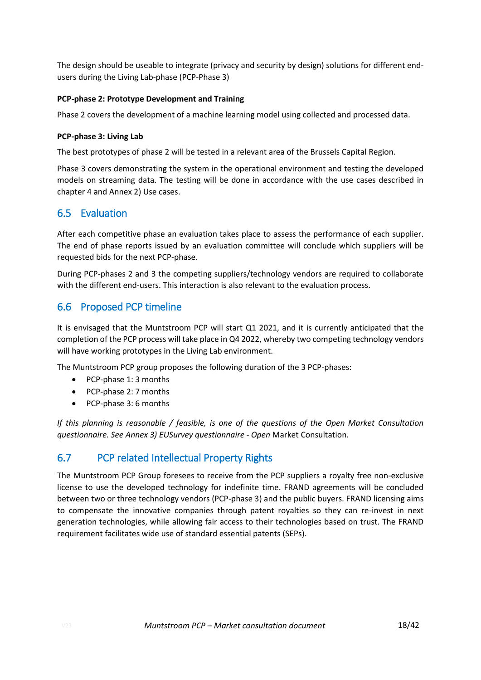The design should be useable to integrate (privacy and security by design) solutions for different endusers during the Living Lab-phase (PCP-Phase 3)

#### **PCP-phase 2: Prototype Development and Training**

Phase 2 covers the development of a machine learning model using collected and processed data.

#### **PCP-phase 3: Living Lab**

The best prototypes of phase 2 will be tested in a relevant area of the Brussels Capital Region.

Phase 3 covers demonstrating the system in the operational environment and testing the developed models on streaming data. The testing will be done in accordance with the use cases described in chapter [4](#page-12-0) and [Annex 2\)](#page-39-0) [Use cases.](#page-39-0)

### <span id="page-17-0"></span>6.5 Evaluation

After each competitive phase an evaluation takes place to assess the performance of each supplier. The end of phase reports issued by an evaluation committee will conclude which suppliers will be requested bids for the next PCP-phase.

During PCP-phases 2 and 3 the competing suppliers/technology vendors are required to collaborate with the different end-users. This interaction is also relevant to the evaluation process.

### <span id="page-17-1"></span>6.6 Proposed PCP timeline

It is envisaged that the Muntstroom PCP will start Q1 2021, and it is currently anticipated that the completion of the PCP process will take place in Q4 2022, whereby two competing technology vendors will have working prototypes in the Living Lab environment.

The Muntstroom PCP group proposes the following duration of the 3 PCP-phases:

- PCP-phase 1: 3 months
- PCP-phase 2: 7 months
- PCP-phase 3: 6 months

*If this planning is reasonable / feasible, is one of the questions of the Open Market Consultation questionnaire. See [Annex 3\)](#page-40-0) EUSurvey questionnaire - Open* [Market Consultation](#page-40-0)*.*

### <span id="page-17-2"></span>6.7 PCP related Intellectual Property Rights

The Muntstroom PCP Group foresees to receive from the PCP suppliers a royalty free non-exclusive license to use the developed technology for indefinite time. FRAND agreements will be concluded between two or three technology vendors (PCP-phase 3) and the public buyers. FRAND licensing aims to compensate the innovative companies through patent royalties so they can re-invest in next generation technologies, while allowing fair access to their technologies based on trust. The FRAND requirement facilitates wide use of standard essential patents (SEPs).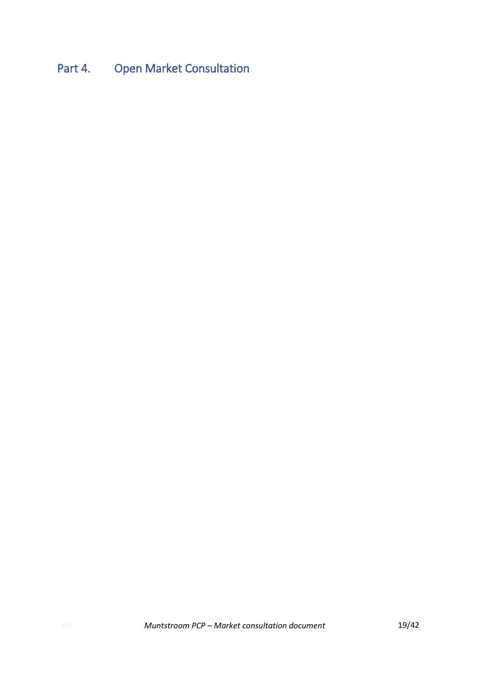# <span id="page-18-0"></span>Part 4. Open Market Consultation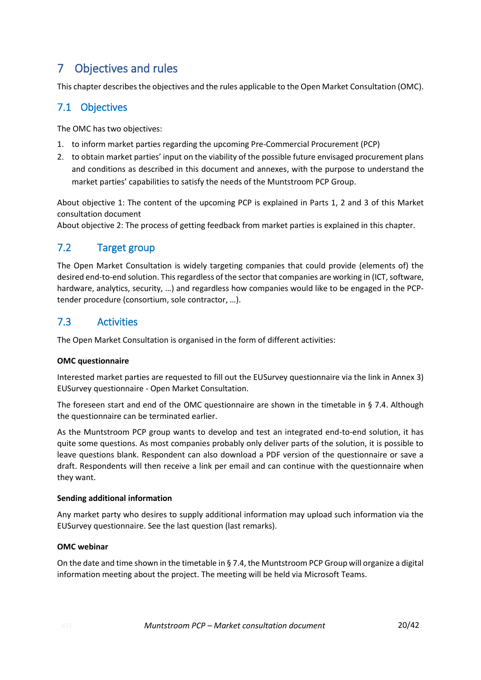## <span id="page-19-0"></span>7 Objectives and rules

This chapter describes the objectives and the rules applicable to the Open Market Consultation (OMC).

### <span id="page-19-1"></span>7.1 Objectives

The OMC has two objectives:

- 1. to inform market parties regarding the upcoming Pre-Commercial Procurement (PCP)
- 2. to obtain market parties' input on the viability of the possible future envisaged procurement plans and conditions as described in this document and annexes, with the purpose to understand the market parties' capabilities to satisfy the needs of the Muntstroom PCP Group.

About objective 1: The content of the upcoming PCP is explained in Parts 1, 2 and 3 of this Market consultation document

<span id="page-19-2"></span>About objective 2: The process of getting feedback from market parties is explained in this chapter.

### 7.2 Target group

The Open Market Consultation is widely targeting companies that could provide (elements of) the desired end-to-end solution. This regardless of the sector that companies are working in (ICT, software, hardware, analytics, security, …) and regardless how companies would like to be engaged in the PCPtender procedure (consortium, sole contractor, …).

### <span id="page-19-3"></span>7.3 Activities

The Open Market Consultation is organised in the form of different activities:

### **OMC questionnaire**

Interested market parties are requested to fill out the EUSurvey questionnaire via the link in [Annex 3\)](#page-40-0) EUSurvey questionnaire - [Open Market Consultation.](#page-40-0)

The foreseen start and end of the OMC questionnaire are shown in the timetable in § [7.4.](#page-20-0) Although the questionnaire can be terminated earlier.

As the Muntstroom PCP group wants to develop and test an integrated end-to-end solution, it has quite some questions. As most companies probably only deliver parts of the solution, it is possible to leave questions blank. Respondent can also download a PDF version of the questionnaire or save a draft. Respondents will then receive a link per email and can continue with the questionnaire when they want.

### **Sending additional information**

Any market party who desires to supply additional information may upload such information via the EUSurvey questionnaire. See the last question (last remarks).

### **OMC webinar**

On the date and time shown in the timetable in § [7.4,](#page-20-0) the Muntstroom PCP Group will organize a digital information meeting about the project. The meeting will be held via Microsoft Teams.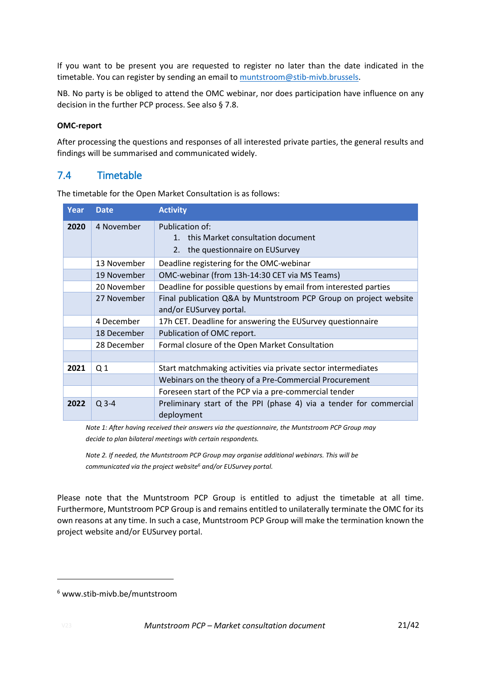If you want to be present you are requested to register no later than the date indicated in the timetable. You can register by sending an email to [muntstroom@stib-mivb.brussels.](mailto:muntstroom@stib-mivb.brussels)

NB. No party is be obliged to attend the OMC webinar, nor does participation have influence on any decision in the further PCP process. See also § 7.8.

#### **OMC-report**

After processing the questions and responses of all interested private parties, the general results and findings will be summarised and communicated widely.

### <span id="page-20-0"></span>7.4 Timetable

The timetable for the Open Market Consultation is as follows:

| Year | <b>Date</b>    | <b>Activity</b>                                                                                        |
|------|----------------|--------------------------------------------------------------------------------------------------------|
| 2020 | 4 November     | Publication of:<br>this Market consultation document<br>$1_{-}$<br>the questionnaire on EUSurvey<br>2. |
|      | 13 November    | Deadline registering for the OMC-webinar                                                               |
|      | 19 November    | OMC-webinar (from 13h-14:30 CET via MS Teams)                                                          |
|      | 20 November    | Deadline for possible questions by email from interested parties                                       |
|      | 27 November    | Final publication Q&A by Muntstroom PCP Group on project website<br>and/or EUSurvey portal.            |
|      | 4 December     | 17h CET. Deadline for answering the EUSurvey questionnaire                                             |
|      | 18 December    | Publication of OMC report.                                                                             |
|      | 28 December    | Formal closure of the Open Market Consultation                                                         |
|      |                |                                                                                                        |
| 2021 | Q <sub>1</sub> | Start matchmaking activities via private sector intermediates                                          |
|      |                | Webinars on the theory of a Pre-Commercial Procurement                                                 |
|      |                | Foreseen start of the PCP via a pre-commercial tender                                                  |
| 2022 | $Q$ 3-4        | Preliminary start of the PPI (phase 4) via a tender for commercial<br>deployment                       |

*Note 1: After having received their answers via the questionnaire, the Muntstroom PCP Group may decide to plan bilateral meetings with certain respondents.*

*Note 2. If needed, the Muntstroom PCP Group may organise additional webinars. This will be communicated via the project website<sup>6</sup> and/or EUSurvey portal.*

Please note that the Muntstroom PCP Group is entitled to adjust the timetable at all time. Furthermore, Muntstroom PCP Group is and remains entitled to unilaterally terminate the OMC for its own reasons at any time. In such a case, Muntstroom PCP Group will make the termination known the project website and/or EUSurvey portal.

<sup>6</sup> www.stib-mivb.be/muntstroom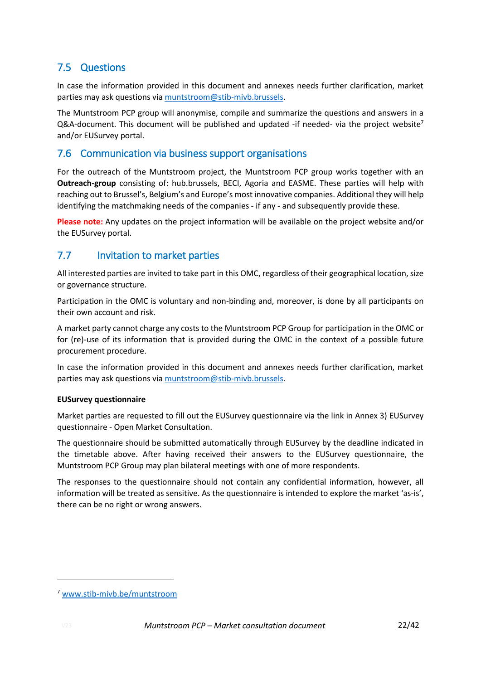### <span id="page-21-0"></span>7.5 Questions

In case the information provided in this document and annexes needs further clarification, market parties may ask questions via [muntstroom@stib-mivb.brussels.](mailto:muntstroom@stib-mivb.brussels)

The Muntstroom PCP group will anonymise, compile and summarize the questions and answers in a Q&A-document. This document will be published and updated -if needed- via the project website<sup>7</sup> and/or EUSurvey portal.

### <span id="page-21-1"></span>7.6 Communication via business support organisations

For the outreach of the Muntstroom project, the Muntstroom PCP group works together with an **Outreach-group** consisting of: hub.brussels, BECI, Agoria and EASME. These parties will help with reaching out to Brussel's, Belgium's and Europe's most innovative companies. Additional they will help identifying the matchmaking needs of the companies - if any - and subsequently provide these.

**Please note:** Any updates on the project information will be available on the project website and/or the EUSurvey portal.

### <span id="page-21-2"></span>7.7 Invitation to market parties

All interested parties are invited to take part in this OMC, regardless of their geographical location, size or governance structure.

Participation in the OMC is voluntary and non-binding and, moreover, is done by all participants on their own account and risk.

A market party cannot charge any costs to the Muntstroom PCP Group for participation in the OMC or for (re)-use of its information that is provided during the OMC in the context of a possible future procurement procedure.

In case the information provided in this document and annexes needs further clarification, market parties may ask questions via [muntstroom@stib-mivb.brussels.](mailto:muntstroom@stib-mivb.brussels)

### **EUSurvey questionnaire**

Market parties are requested to fill out the EUSurvey questionnaire via the link in [Annex 3\)](#page-40-0) [EUSurvey](#page-40-0) questionnaire - [Open Market Consultation.](#page-40-0)

The questionnaire should be submitted automatically through EUSurvey by the deadline indicated in the timetable above. After having received their answers to the EUSurvey questionnaire, the Muntstroom PCP Group may plan bilateral meetings with one of more respondents.

The responses to the questionnaire should not contain any confidential information, however, all information will be treated as sensitive. As the questionnaire is intended to explore the market 'as-is', there can be no right or wrong answers.

<sup>7</sup> [www.stib-mivb.be/muntstroom](http://www.stib-mivb.be/muntstroom)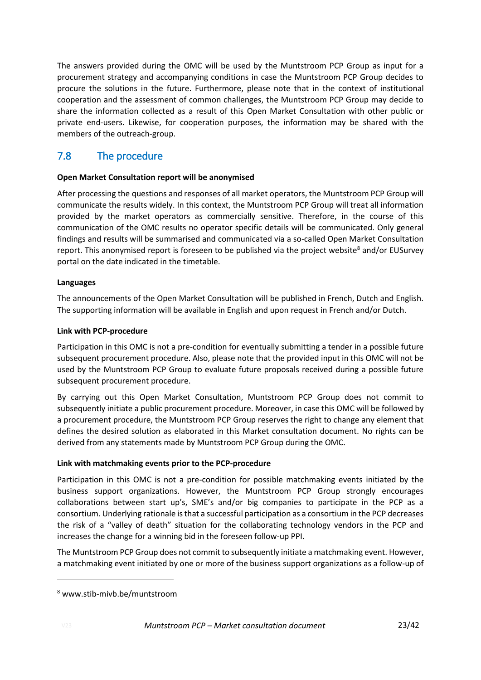The answers provided during the OMC will be used by the Muntstroom PCP Group as input for a procurement strategy and accompanying conditions in case the Muntstroom PCP Group decides to procure the solutions in the future. Furthermore, please note that in the context of institutional cooperation and the assessment of common challenges, the Muntstroom PCP Group may decide to share the information collected as a result of this Open Market Consultation with other public or private end-users. Likewise, for cooperation purposes, the information may be shared with the members of the outreach-group.

### <span id="page-22-0"></span>7.8 The procedure

### **Open Market Consultation report will be anonymised**

After processing the questions and responses of all market operators, the Muntstroom PCP Group will communicate the results widely. In this context, the Muntstroom PCP Group will treat all information provided by the market operators as commercially sensitive. Therefore, in the course of this communication of the OMC results no operator specific details will be communicated. Only general findings and results will be summarised and communicated via a so-called Open Market Consultation report. This anonymised report is foreseen to be published via the project website<sup>8</sup> and/or EUSurvey portal on the date indicated in the timetable.

### **Languages**

The announcements of the Open Market Consultation will be published in French, Dutch and English. The supporting information will be available in English and upon request in French and/or Dutch.

#### **Link with PCP-procedure**

Participation in this OMC is not a pre-condition for eventually submitting a tender in a possible future subsequent procurement procedure. Also, please note that the provided input in this OMC will not be used by the Muntstroom PCP Group to evaluate future proposals received during a possible future subsequent procurement procedure.

By carrying out this Open Market Consultation, Muntstroom PCP Group does not commit to subsequently initiate a public procurement procedure. Moreover, in case this OMC will be followed by a procurement procedure, the Muntstroom PCP Group reserves the right to change any element that defines the desired solution as elaborated in this Market consultation document. No rights can be derived from any statements made by Muntstroom PCP Group during the OMC.

### **Link with matchmaking events prior to the PCP-procedure**

Participation in this OMC is not a pre-condition for possible matchmaking events initiated by the business support organizations. However, the Muntstroom PCP Group strongly encourages collaborations between start up's, SME's and/or big companies to participate in the PCP as a consortium. Underlying rationale is that a successful participation as a consortium in the PCP decreases the risk of a "valley of death" situation for the collaborating technology vendors in the PCP and increases the change for a winning bid in the foreseen follow-up PPI.

The Muntstroom PCP Group does not commit to subsequently initiate a matchmaking event. However, a matchmaking event initiated by one or more of the business support organizations as a follow-up of

<sup>8</sup> www.stib-mivb.be/muntstroom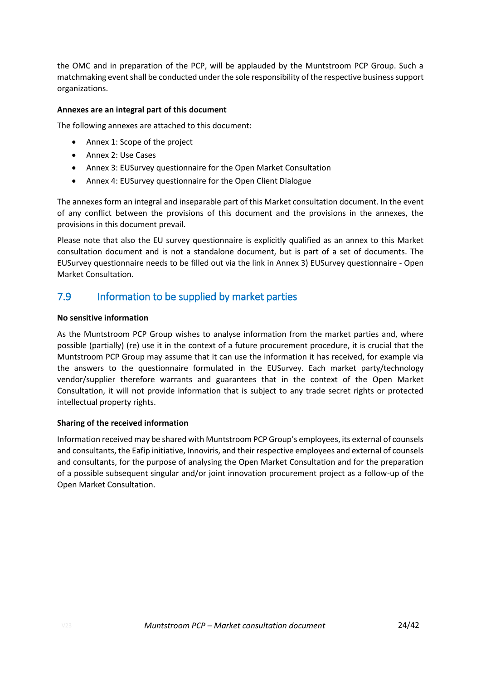the OMC and in preparation of the PCP, will be applauded by the Muntstroom PCP Group. Such a matchmaking event shall be conducted under the sole responsibility of the respective business support organizations.

#### **Annexes are an integral part of this document**

The following annexes are attached to this document:

- Annex 1: Scope of the project
- Annex 2: Use Cases
- Annex 3: EUSurvey questionnaire for the Open Market Consultation
- Annex 4: EUSurvey questionnaire for the Open Client Dialogue

The annexes form an integral and inseparable part of this Market consultation document. In the event of any conflict between the provisions of this document and the provisions in the annexes, the provisions in this document prevail.

Please note that also the EU survey questionnaire is explicitly qualified as an annex to this Market consultation document and is not a standalone document, but is part of a set of documents. The EUSurvey questionnaire needs to be filled out via the link in [Annex 3\)](#page-40-0) EUSurvey [questionnaire -](#page-40-0) Open [Market Consultation.](#page-40-0)

### <span id="page-23-0"></span>7.9 Information to be supplied by market parties

#### **No sensitive information**

As the Muntstroom PCP Group wishes to analyse information from the market parties and, where possible (partially) (re) use it in the context of a future procurement procedure, it is crucial that the Muntstroom PCP Group may assume that it can use the information it has received, for example via the answers to the questionnaire formulated in the EUSurvey. Each market party/technology vendor/supplier therefore warrants and guarantees that in the context of the Open Market Consultation, it will not provide information that is subject to any trade secret rights or protected intellectual property rights.

### **Sharing of the received information**

Information received may be shared with Muntstroom PCP Group's employees, its external of counsels and consultants, the Eafip initiative, Innoviris, and their respective employees and external of counsels and consultants, for the purpose of analysing the Open Market Consultation and for the preparation of a possible subsequent singular and/or joint innovation procurement project as a follow-up of the Open Market Consultation.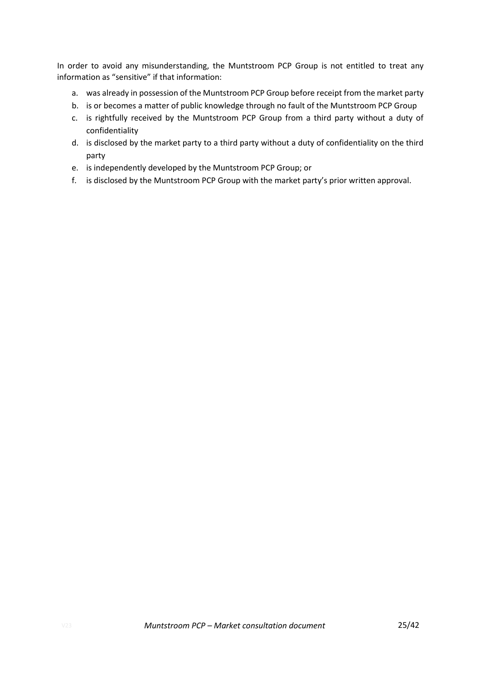In order to avoid any misunderstanding, the Muntstroom PCP Group is not entitled to treat any information as "sensitive" if that information:

- a. was already in possession of the Muntstroom PCP Group before receipt from the market party
- b. is or becomes a matter of public knowledge through no fault of the Muntstroom PCP Group
- c. is rightfully received by the Muntstroom PCP Group from a third party without a duty of confidentiality
- d. is disclosed by the market party to a third party without a duty of confidentiality on the third party
- e. is independently developed by the Muntstroom PCP Group; or
- f. is disclosed by the Muntstroom PCP Group with the market party's prior written approval.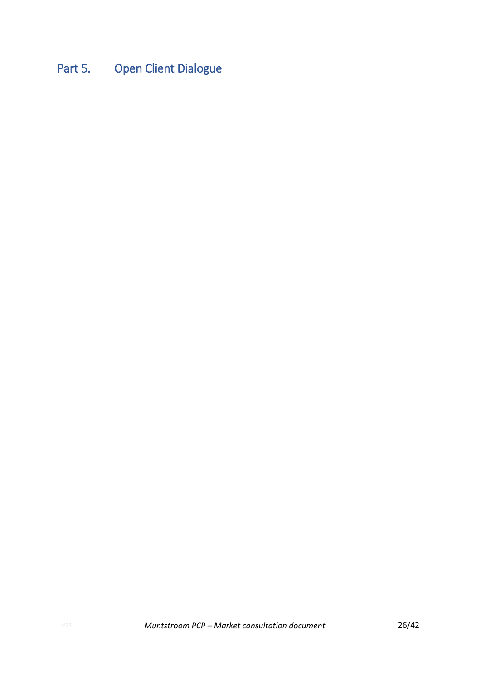# <span id="page-25-0"></span>Part 5. Open Client Dialogue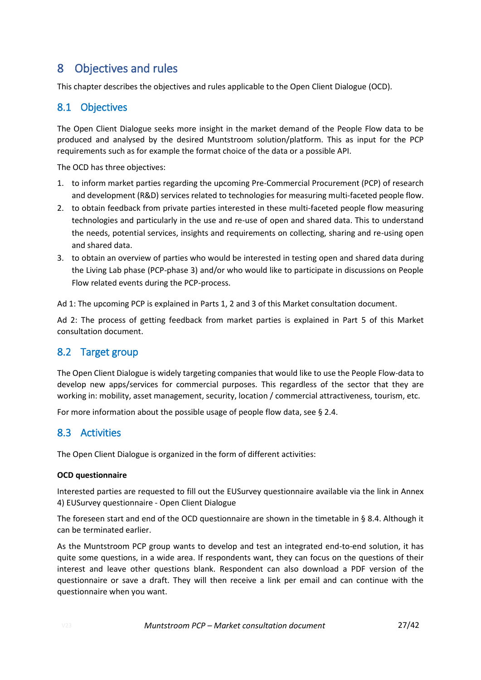## <span id="page-26-0"></span>8 Objectives and rules

This chapter describes the objectives and rules applicable to the Open Client Dialogue (OCD).

### <span id="page-26-1"></span>8.1 Objectives

The Open Client Dialogue seeks more insight in the market demand of the People Flow data to be produced and analysed by the desired Muntstroom solution/platform. This as input for the PCP requirements such as for example the format choice of the data or a possible API.

The OCD has three objectives:

- 1. to inform market parties regarding the upcoming Pre-Commercial Procurement (PCP) of research and development (R&D) services related to technologies for measuring multi-faceted people flow.
- 2. to obtain feedback from private parties interested in these multi-faceted people flow measuring technologies and particularly in the use and re-use of open and shared data. This to understand the needs, potential services, insights and requirements on collecting, sharing and re-using open and shared data.
- 3. to obtain an overview of parties who would be interested in testing open and shared data during the Living Lab phase (PCP-phase 3) and/or who would like to participate in discussions on People Flow related events during the PCP-process.

Ad 1: The upcoming PCP is explained in Parts 1, 2 and 3 of this Market consultation document.

Ad 2: The process of getting feedback from market parties is explained in Part 5 of this Market consultation document.

### <span id="page-26-2"></span>8.2 Target group

The Open Client Dialogue is widely targeting companies that would like to use the People Flow-data to develop new apps/services for commercial purposes. This regardless of the sector that they are working in: mobility, asset management, security, location / commercial attractiveness, tourism, etc.

For more information about the possible usage of people flow data, see [§ 2.4.](#page-8-0)

### <span id="page-26-3"></span>8.3 Activities

The Open Client Dialogue is organized in the form of different activities:

### **OCD questionnaire**

Interested parties are requested to fill out the EUSurvey questionnaire available via the link in [Annex](#page-41-0)  [4\)](#page-41-0) EUSurvey [questionnaire -](#page-41-0) Open Client Dialogue

The foreseen start and end of the OCD questionnaire are shown in the timetable in § [8.4.](#page-27-0) Although it can be terminated earlier.

As the Muntstroom PCP group wants to develop and test an integrated end-to-end solution, it has quite some questions, in a wide area. If respondents want, they can focus on the questions of their interest and leave other questions blank. Respondent can also download a PDF version of the questionnaire or save a draft. They will then receive a link per email and can continue with the questionnaire when you want.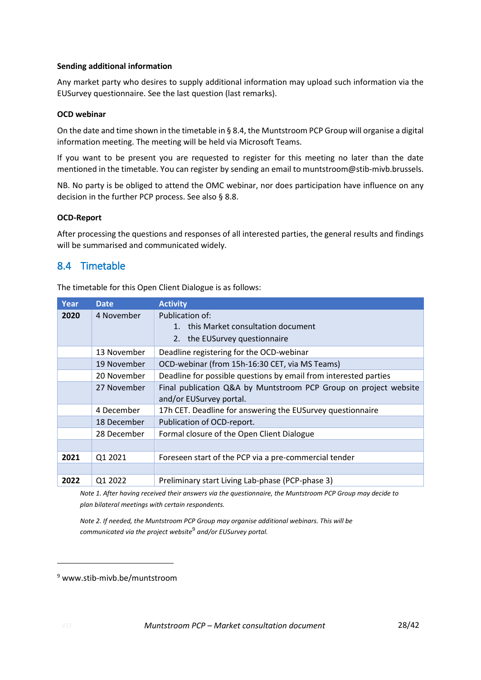#### **Sending additional information**

Any market party who desires to supply additional information may upload such information via the EUSurvey questionnaire. See the last question (last remarks).

#### **OCD webinar**

On the date and time shown in the timetable in [§ 8.4,](#page-27-0) the Muntstroom PCP Group will organise a digital information meeting. The meeting will be held via Microsoft Teams.

If you want to be present you are requested to register for this meeting no later than the date mentioned in the timetable. You can register by sending an email to muntstroom@stib-mivb.brussels.

NB. No party is be obliged to attend the OMC webinar, nor does participation have influence on any decision in the further PCP process. See also § 8.8.

#### **OCD-Report**

After processing the questions and responses of all interested parties, the general results and findings will be summarised and communicated widely.

### <span id="page-27-0"></span>8.4 Timetable

The timetable for this Open Client Dialogue is as follows:

| Year | <b>Date</b> | <b>Activity</b>                                                  |
|------|-------------|------------------------------------------------------------------|
| 2020 | 4 November  | Publication of:                                                  |
|      |             | this Market consultation document<br>$1_{-}$                     |
|      |             | the EUSurvey questionnaire<br>2.                                 |
|      | 13 November | Deadline registering for the OCD-webinar                         |
|      | 19 November | OCD-webinar (from 15h-16:30 CET, via MS Teams)                   |
|      | 20 November | Deadline for possible questions by email from interested parties |
|      | 27 November | Final publication Q&A by Muntstroom PCP Group on project website |
|      |             | and/or EUSurvey portal.                                          |
|      | 4 December  | 17h CET. Deadline for answering the EUSurvey questionnaire       |
|      | 18 December | Publication of OCD-report.                                       |
|      | 28 December | Formal closure of the Open Client Dialogue                       |
|      |             |                                                                  |
| 2021 | Q1 2021     | Foreseen start of the PCP via a pre-commercial tender            |
|      |             |                                                                  |
| 2022 | Q1 2022     | Preliminary start Living Lab-phase (PCP-phase 3)                 |

*Note 1. After having received their answers via the questionnaire, the Muntstroom PCP Group may decide to plan bilateral meetings with certain respondents.*

*Note 2. If needed, the Muntstroom PCP Group may organise additional webinars. This will be communicated via the project website*<sup>9</sup> *and/or EUSurvey portal.*

<sup>9</sup> www.stib-mivb.be/muntstroom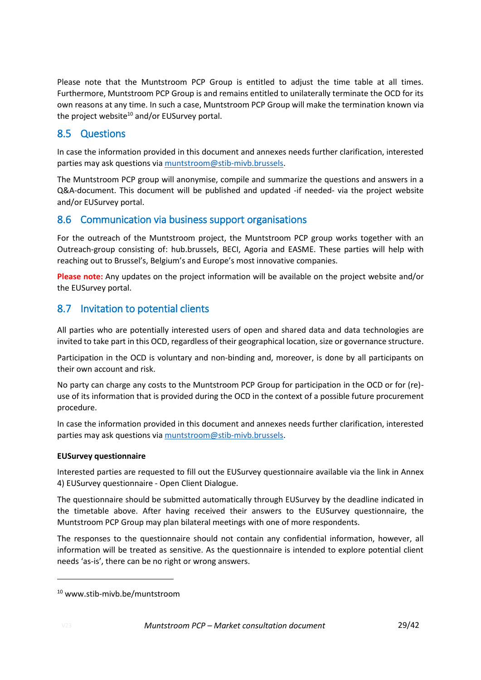Please note that the Muntstroom PCP Group is entitled to adjust the time table at all times. Furthermore, Muntstroom PCP Group is and remains entitled to unilaterally terminate the OCD for its own reasons at any time. In such a case, Muntstroom PCP Group will make the termination known via the project website<sup>10</sup> and/or EUSurvey portal.

### <span id="page-28-0"></span>8.5 Questions

In case the information provided in this document and annexes needs further clarification, interested parties may ask questions via [muntstroom@stib-mivb.brussels.](mailto:muntstroom@stib-mivb.brussels)

The Muntstroom PCP group will anonymise, compile and summarize the questions and answers in a Q&A-document. This document will be published and updated -if needed- via the project website and/or EUSurvey portal.

### <span id="page-28-1"></span>8.6 Communication via business support organisations

For the outreach of the Muntstroom project, the Muntstroom PCP group works together with an Outreach-group consisting of: hub.brussels, BECI, Agoria and EASME. These parties will help with reaching out to Brussel's, Belgium's and Europe's most innovative companies.

**Please note:** Any updates on the project information will be available on the project website and/or the EUSurvey portal.

### <span id="page-28-2"></span>8.7 Invitation to potential clients

All parties who are potentially interested users of open and shared data and data technologies are invited to take part in this OCD, regardless of their geographical location, size or governance structure.

Participation in the OCD is voluntary and non-binding and, moreover, is done by all participants on their own account and risk.

No party can charge any costs to the Muntstroom PCP Group for participation in the OCD or for (re) use of its information that is provided during the OCD in the context of a possible future procurement procedure.

In case the information provided in this document and annexes needs further clarification, interested parties may ask questions via [muntstroom@stib-mivb.brussels.](mailto:muntstroom@stib-mivb.brussels)

### **EUSurvey questionnaire**

Interested parties are requested to fill out the EUSurvey questionnaire available via the link in [Annex](#page-41-0)  [4\)](#page-41-0) EUSurvey questionnaire - Open [Client Dialogue.](#page-41-0)

The questionnaire should be submitted automatically through EUSurvey by the deadline indicated in the timetable above. After having received their answers to the EUSurvey questionnaire, the Muntstroom PCP Group may plan bilateral meetings with one of more respondents.

The responses to the questionnaire should not contain any confidential information, however, all information will be treated as sensitive. As the questionnaire is intended to explore potential client needs 'as-is', there can be no right or wrong answers.

<sup>10</sup> www.stib-mivb.be/muntstroom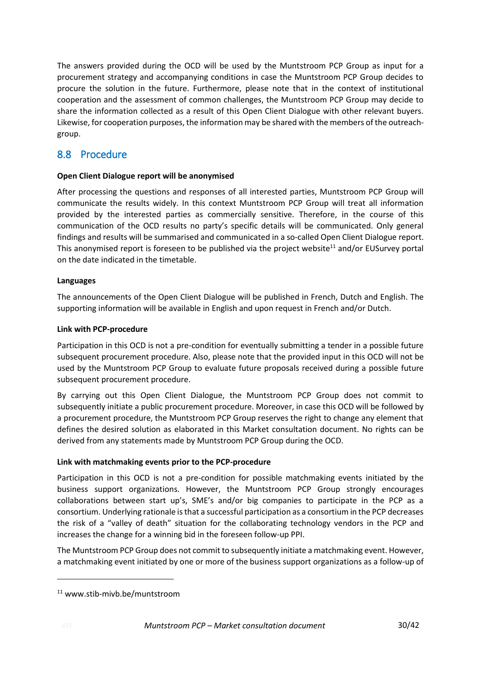The answers provided during the OCD will be used by the Muntstroom PCP Group as input for a procurement strategy and accompanying conditions in case the Muntstroom PCP Group decides to procure the solution in the future. Furthermore, please note that in the context of institutional cooperation and the assessment of common challenges, the Muntstroom PCP Group may decide to share the information collected as a result of this Open Client Dialogue with other relevant buyers. Likewise, for cooperation purposes, the information may be shared with the members of the outreachgroup.

### <span id="page-29-0"></span>8.8 Procedure

### **Open Client Dialogue report will be anonymised**

After processing the questions and responses of all interested parties, Muntstroom PCP Group will communicate the results widely. In this context Muntstroom PCP Group will treat all information provided by the interested parties as commercially sensitive. Therefore, in the course of this communication of the OCD results no party's specific details will be communicated. Only general findings and results will be summarised and communicated in a so-called Open Client Dialogue report. This anonymised report is foreseen to be published via the project website<sup>11</sup> and/or EUSurvey portal on the date indicated in the timetable.

#### **Languages**

The announcements of the Open Client Dialogue will be published in French, Dutch and English. The supporting information will be available in English and upon request in French and/or Dutch.

#### **Link with PCP-procedure**

Participation in this OCD is not a pre-condition for eventually submitting a tender in a possible future subsequent procurement procedure. Also, please note that the provided input in this OCD will not be used by the Muntstroom PCP Group to evaluate future proposals received during a possible future subsequent procurement procedure.

By carrying out this Open Client Dialogue, the Muntstroom PCP Group does not commit to subsequently initiate a public procurement procedure. Moreover, in case this OCD will be followed by a procurement procedure, the Muntstroom PCP Group reserves the right to change any element that defines the desired solution as elaborated in this Market consultation document. No rights can be derived from any statements made by Muntstroom PCP Group during the OCD.

#### **Link with matchmaking events prior to the PCP-procedure**

Participation in this OCD is not a pre-condition for possible matchmaking events initiated by the business support organizations. However, the Muntstroom PCP Group strongly encourages collaborations between start up's, SME's and/or big companies to participate in the PCP as a consortium. Underlying rationale is that a successful participation as a consortium in the PCP decreases the risk of a "valley of death" situation for the collaborating technology vendors in the PCP and increases the change for a winning bid in the foreseen follow-up PPI.

The Muntstroom PCP Group does not commit to subsequently initiate a matchmaking event. However, a matchmaking event initiated by one or more of the business support organizations as a follow-up of

<sup>11</sup> www.stib-mivb.be/muntstroom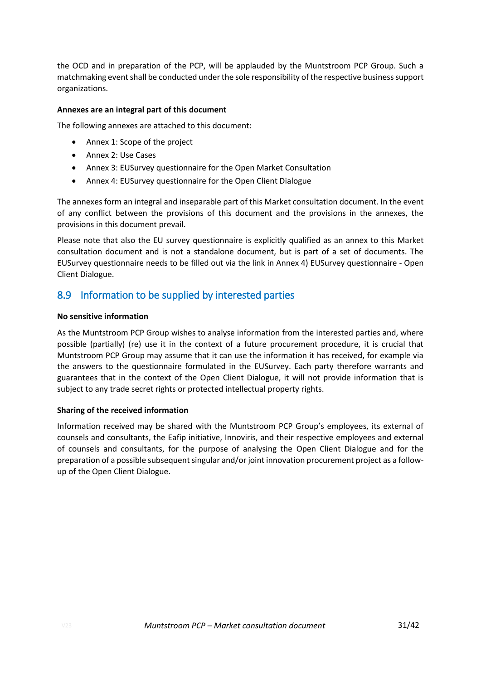the OCD and in preparation of the PCP, will be applauded by the Muntstroom PCP Group. Such a matchmaking event shall be conducted under the sole responsibility of the respective business support organizations.

#### **Annexes are an integral part of this document**

The following annexes are attached to this document:

- Annex 1: Scope of the project
- Annex 2: Use Cases
- Annex 3: EUSurvey questionnaire for the Open Market Consultation
- Annex 4: EUSurvey questionnaire for the Open Client Dialogue

The annexes form an integral and inseparable part of this Market consultation document. In the event of any conflict between the provisions of this document and the provisions in the annexes, the provisions in this document prevail.

Please note that also the EU survey questionnaire is explicitly qualified as an annex to this Market consultation document and is not a standalone document, but is part of a set of documents. The EUSurvey questionnaire needs to be filled out via the link i[n Annex 4\)](#page-41-0) EUSurvey [questionnaire -](#page-41-0) Open [Client Dialogue.](#page-41-0)

### <span id="page-30-0"></span>8.9 Information to be supplied by interested parties

#### **No sensitive information**

As the Muntstroom PCP Group wishes to analyse information from the interested parties and, where possible (partially) (re) use it in the context of a future procurement procedure, it is crucial that Muntstroom PCP Group may assume that it can use the information it has received, for example via the answers to the questionnaire formulated in the EUSurvey. Each party therefore warrants and guarantees that in the context of the Open Client Dialogue, it will not provide information that is subject to any trade secret rights or protected intellectual property rights.

### **Sharing of the received information**

Information received may be shared with the Muntstroom PCP Group's employees, its external of counsels and consultants, the Eafip initiative, Innoviris, and their respective employees and external of counsels and consultants, for the purpose of analysing the Open Client Dialogue and for the preparation of a possible subsequent singular and/or joint innovation procurement project as a followup of the Open Client Dialogue.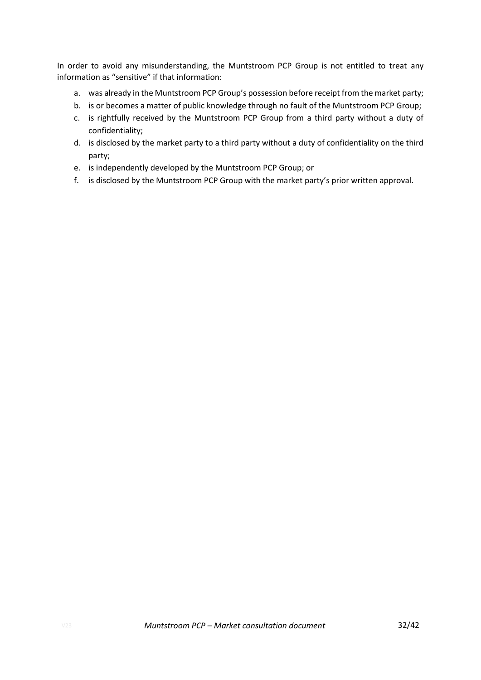In order to avoid any misunderstanding, the Muntstroom PCP Group is not entitled to treat any information as "sensitive" if that information:

- a. was already in the Muntstroom PCP Group's possession before receipt from the market party;
- b. is or becomes a matter of public knowledge through no fault of the Muntstroom PCP Group;
- c. is rightfully received by the Muntstroom PCP Group from a third party without a duty of confidentiality;
- d. is disclosed by the market party to a third party without a duty of confidentiality on the third party;
- e. is independently developed by the Muntstroom PCP Group; or
- f. is disclosed by the Muntstroom PCP Group with the market party's prior written approval.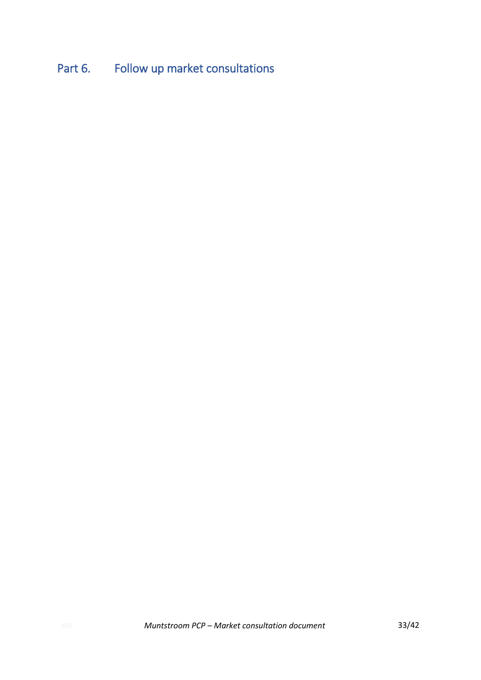# <span id="page-32-0"></span>Part 6. Follow up market consultations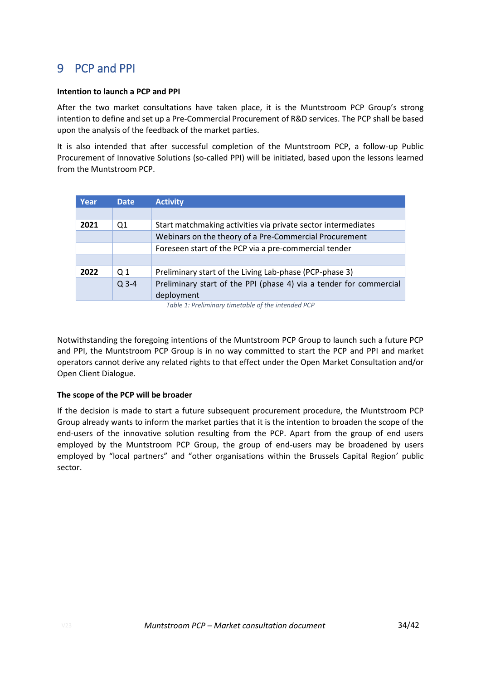## <span id="page-33-0"></span>9 PCP and PPI

#### **Intention to launch a PCP and PPI**

After the two market consultations have taken place, it is the Muntstroom PCP Group's strong intention to define and set up a Pre-Commercial Procurement of R&D services. The PCP shall be based upon the analysis of the feedback of the market parties.

It is also intended that after successful completion of the Muntstroom PCP, a follow-up Public Procurement of Innovative Solutions (so-called PPI) will be initiated, based upon the lessons learned from the Muntstroom PCP.

| Year | <b>Date</b>    | <b>Activity</b>                                                    |
|------|----------------|--------------------------------------------------------------------|
|      |                |                                                                    |
| 2021 | Q1             | Start matchmaking activities via private sector intermediates      |
|      |                | Webinars on the theory of a Pre-Commercial Procurement             |
|      |                | Foreseen start of the PCP via a pre-commercial tender              |
|      |                |                                                                    |
| 2022 | Q <sub>1</sub> | Preliminary start of the Living Lab-phase (PCP-phase 3)            |
|      | $Q$ 3-4        | Preliminary start of the PPI (phase 4) via a tender for commercial |
|      |                | deployment                                                         |

*Table 1: Preliminary timetable of the intended PCP*

Notwithstanding the foregoing intentions of the Muntstroom PCP Group to launch such a future PCP and PPI, the Muntstroom PCP Group is in no way committed to start the PCP and PPI and market operators cannot derive any related rights to that effect under the Open Market Consultation and/or Open Client Dialogue.

### **The scope of the PCP will be broader**

If the decision is made to start a future subsequent procurement procedure, the Muntstroom PCP Group already wants to inform the market parties that it is the intention to broaden the scope of the end-users of the innovative solution resulting from the PCP. Apart from the group of end users employed by the Muntstroom PCP Group, the group of end-users may be broadened by users employed by "local partners" and "other organisations within the Brussels Capital Region' public sector.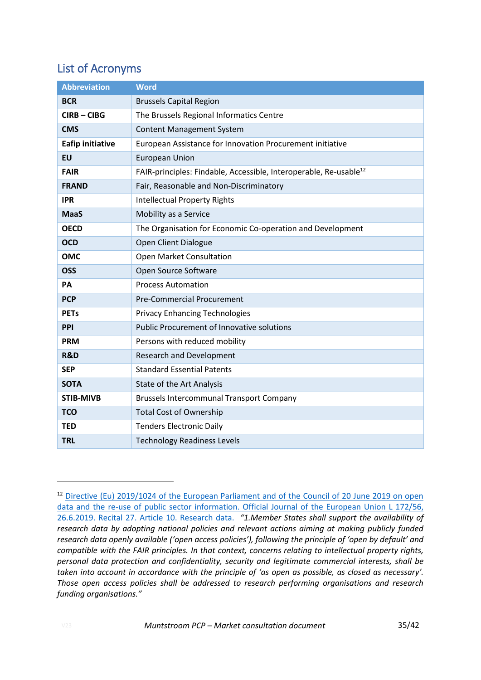## <span id="page-34-0"></span>List of Acronyms

| <b>Abbreviation</b>     | <b>Word</b>                                                                   |
|-------------------------|-------------------------------------------------------------------------------|
| <b>BCR</b>              | <b>Brussels Capital Region</b>                                                |
| $CIRB - CIBG$           | The Brussels Regional Informatics Centre                                      |
| <b>CMS</b>              | <b>Content Management System</b>                                              |
| <b>Eafip initiative</b> | European Assistance for Innovation Procurement initiative                     |
| <b>EU</b>               | <b>European Union</b>                                                         |
| <b>FAIR</b>             | FAIR-principles: Findable, Accessible, Interoperable, Re-usable <sup>12</sup> |
| <b>FRAND</b>            | Fair, Reasonable and Non-Discriminatory                                       |
| <b>IPR</b>              | <b>Intellectual Property Rights</b>                                           |
| <b>MaaS</b>             | Mobility as a Service                                                         |
| <b>OECD</b>             | The Organisation for Economic Co-operation and Development                    |
| <b>OCD</b>              | Open Client Dialogue                                                          |
| <b>OMC</b>              | <b>Open Market Consultation</b>                                               |
| <b>OSS</b>              | Open Source Software                                                          |
| PA                      | <b>Process Automation</b>                                                     |
| <b>PCP</b>              | <b>Pre-Commercial Procurement</b>                                             |
| <b>PETs</b>             | <b>Privacy Enhancing Technologies</b>                                         |
| PPI                     | <b>Public Procurement of Innovative solutions</b>                             |
| <b>PRM</b>              | Persons with reduced mobility                                                 |
| R&D                     | <b>Research and Development</b>                                               |
| <b>SEP</b>              | <b>Standard Essential Patents</b>                                             |
| <b>SOTA</b>             | State of the Art Analysis                                                     |
| <b>STIB-MIVB</b>        | <b>Brussels Intercommunal Transport Company</b>                               |
| <b>TCO</b>              | <b>Total Cost of Ownership</b>                                                |
| <b>TED</b>              | <b>Tenders Electronic Daily</b>                                               |
| <b>TRL</b>              | <b>Technology Readiness Levels</b>                                            |

<sup>&</sup>lt;sup>12</sup> Directive (Eu) 2019/1024 of the European Parliament and of the Council of 20 June 2019 on open [data and the re-use of public sector information. Official Journal](https://eur-lex.europa.eu/legal-content/EN/TXT/PDF/?uri=CELEX:32019L1024&from=EN) of the European Union L 172/56, [26.6.2019. Recital 27. Article 10. Research data.](https://eur-lex.europa.eu/legal-content/EN/TXT/PDF/?uri=CELEX:32019L1024&from=EN) *"1.Member States shall support the availability of research data by adopting national policies and relevant actions aiming at making publicly funded research data openly available ('open access policies'), following the principle of 'open by default' and compatible with the FAIR principles. In that context, concerns relating to intellectual property rights, personal data protection and confidentiality, security and legitimate commercial interests, shall be taken into account in accordance with the principle of 'as open as possible, as closed as necessary'. Those open access policies shall be addressed to research performing organisations and research funding organisations."*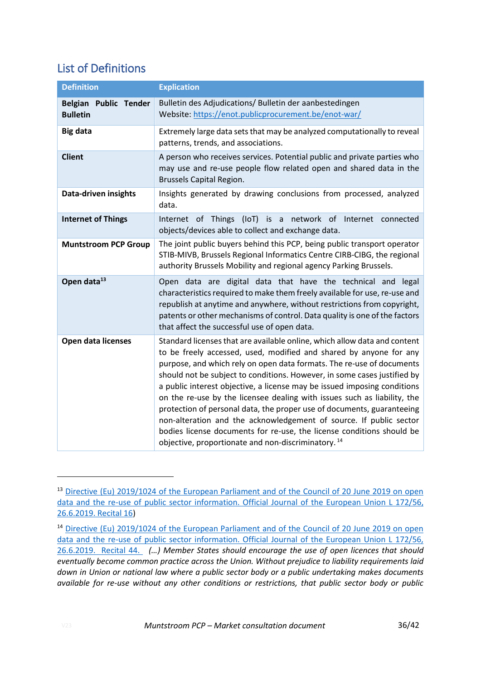## <span id="page-35-0"></span>List of Definitions

| <b>Definition</b>                        | <b>Explication</b>                                                                                                                                                                                                                                                                                                                                                                                                                                                                                                                                                                                                                                                                                                                                      |
|------------------------------------------|---------------------------------------------------------------------------------------------------------------------------------------------------------------------------------------------------------------------------------------------------------------------------------------------------------------------------------------------------------------------------------------------------------------------------------------------------------------------------------------------------------------------------------------------------------------------------------------------------------------------------------------------------------------------------------------------------------------------------------------------------------|
| Belgian Public Tender<br><b>Bulletin</b> | Bulletin des Adjudications/ Bulletin der aanbestedingen<br>Website: https://enot.publicprocurement.be/enot-war/                                                                                                                                                                                                                                                                                                                                                                                                                                                                                                                                                                                                                                         |
| Big data                                 | Extremely large data sets that may be analyzed computationally to reveal<br>patterns, trends, and associations.                                                                                                                                                                                                                                                                                                                                                                                                                                                                                                                                                                                                                                         |
| <b>Client</b>                            | A person who receives services. Potential public and private parties who<br>may use and re-use people flow related open and shared data in the<br><b>Brussels Capital Region.</b>                                                                                                                                                                                                                                                                                                                                                                                                                                                                                                                                                                       |
| Data-driven insights                     | Insights generated by drawing conclusions from processed, analyzed<br>data.                                                                                                                                                                                                                                                                                                                                                                                                                                                                                                                                                                                                                                                                             |
| <b>Internet of Things</b>                | Internet of Things (IoT) is a network of<br>Internet connected<br>objects/devices able to collect and exchange data.                                                                                                                                                                                                                                                                                                                                                                                                                                                                                                                                                                                                                                    |
| <b>Muntstroom PCP Group</b>              | The joint public buyers behind this PCP, being public transport operator<br>STIB-MIVB, Brussels Regional Informatics Centre CIRB-CIBG, the regional<br>authority Brussels Mobility and regional agency Parking Brussels.                                                                                                                                                                                                                                                                                                                                                                                                                                                                                                                                |
| Open data <sup>13</sup>                  | Open data are digital data that have the technical and legal<br>characteristics required to make them freely available for use, re-use and<br>republish at anytime and anywhere, without restrictions from copyright,<br>patents or other mechanisms of control. Data quality is one of the factors<br>that affect the successful use of open data.                                                                                                                                                                                                                                                                                                                                                                                                     |
| <b>Open data licenses</b>                | Standard licenses that are available online, which allow data and content<br>to be freely accessed, used, modified and shared by anyone for any<br>purpose, and which rely on open data formats. The re-use of documents<br>should not be subject to conditions. However, in some cases justified by<br>a public interest objective, a license may be issued imposing conditions<br>on the re-use by the licensee dealing with issues such as liability, the<br>protection of personal data, the proper use of documents, guaranteeing<br>non-alteration and the acknowledgement of source. If public sector<br>bodies license documents for re-use, the license conditions should be<br>objective, proportionate and non-discriminatory. <sup>14</sup> |

<sup>&</sup>lt;sup>13</sup> Directive (Eu) 2019/1024 of the European Parliament and of the Council of 20 June 2019 on open [data and the re-use of public sector information. Official Journal of the European Union L 172/56,](https://eur-lex.europa.eu/legal-content/EN/TXT/PDF/?uri=CELEX:32019L1024&from=EN)  [26.6.2019. Recital 16\)](https://eur-lex.europa.eu/legal-content/EN/TXT/PDF/?uri=CELEX:32019L1024&from=EN)

<sup>&</sup>lt;sup>14</sup> Directive (Eu) 2019/1024 of the European Parliament and of the Council of 20 June 2019 on open [data and the re-use of public sector information. Official Journal of the European Union L 172/56,](https://eur-lex.europa.eu/legal-content/EN/TXT/PDF/?uri=CELEX:32019L1024&from=EN)  [26.6.2019. Recital 44.](https://eur-lex.europa.eu/legal-content/EN/TXT/PDF/?uri=CELEX:32019L1024&from=EN) *(…) Member States should encourage the use of open licences that should eventually become common practice across the Union. Without prejudice to liability requirements laid down in Union or national law where a public sector body or a public undertaking makes documents available for re-use without any other conditions or restrictions, that public sector body or public*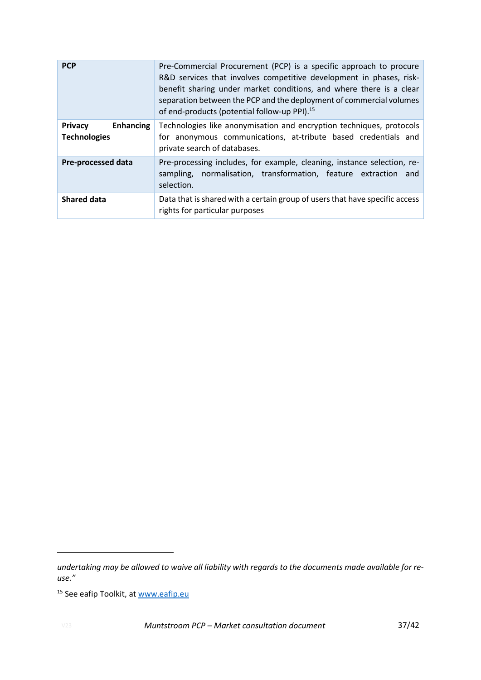| <b>PCP</b>                                                | Pre-Commercial Procurement (PCP) is a specific approach to procure<br>R&D services that involves competitive development in phases, risk-<br>benefit sharing under market conditions, and where there is a clear<br>separation between the PCP and the deployment of commercial volumes<br>of end-products (potential follow-up PPI). <sup>15</sup> |
|-----------------------------------------------------------|-----------------------------------------------------------------------------------------------------------------------------------------------------------------------------------------------------------------------------------------------------------------------------------------------------------------------------------------------------|
| <b>Privacy</b><br><b>Enhancing</b><br><b>Technologies</b> | Technologies like anonymisation and encryption techniques, protocols<br>for anonymous communications, at-tribute based credentials and<br>private search of databases.                                                                                                                                                                              |
| <b>Pre-processed data</b>                                 | Pre-processing includes, for example, cleaning, instance selection, re-<br>sampling, normalisation, transformation, feature extraction and<br>selection.                                                                                                                                                                                            |
| <b>Shared data</b>                                        | Data that is shared with a certain group of users that have specific access<br>rights for particular purposes                                                                                                                                                                                                                                       |

*undertaking may be allowed to waive all liability with regards to the documents made available for reuse."*

<sup>&</sup>lt;sup>15</sup> See eafip Toolkit, at [www.eafip.eu](http://www.eafip.eu/)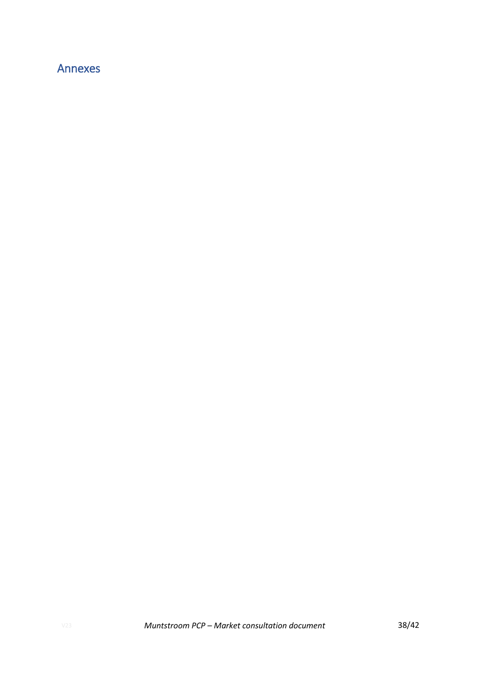## <span id="page-37-0"></span>Annexes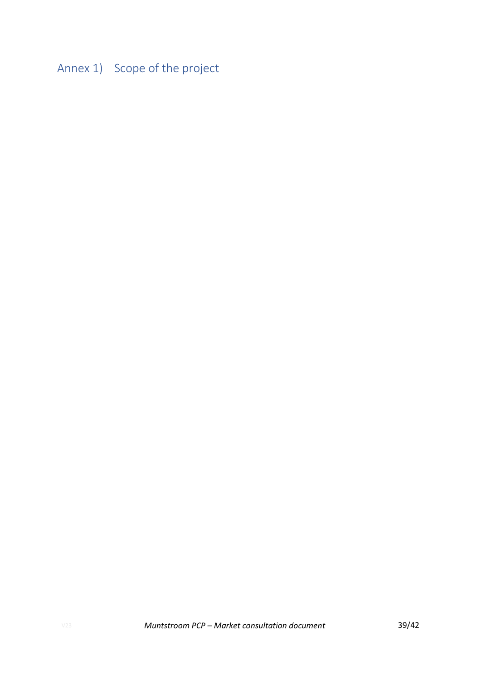<span id="page-38-0"></span>Annex 1) Scope of the project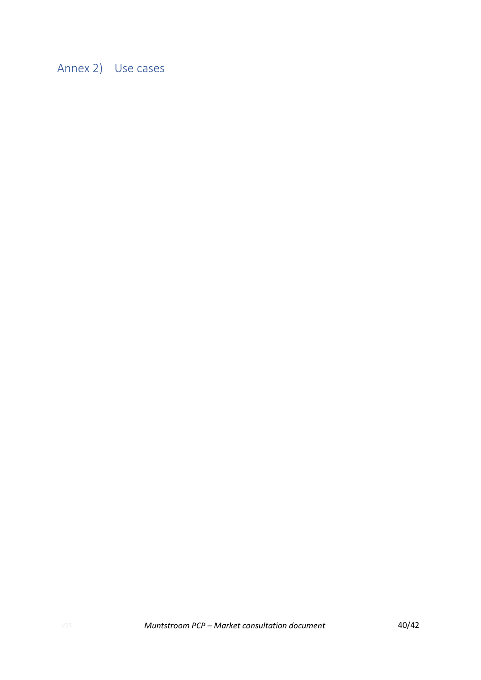<span id="page-39-0"></span>Annex 2) Use cases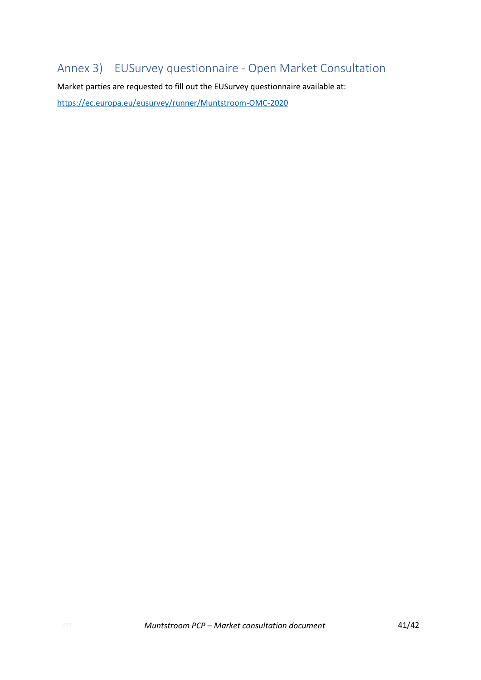## <span id="page-40-0"></span>Annex 3) EUSurvey questionnaire - Open Market Consultation

Market parties are requested to fill out the EUSurvey questionnaire available at: <https://ec.europa.eu/eusurvey/runner/Muntstroom-OMC-2020>